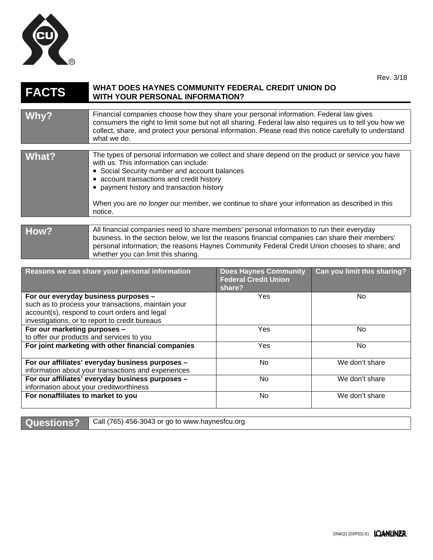

| <b>FACTS</b>                                   | WHAT DOES HAYNES COMMUNITY FEDERAL CREDIT UNION DO<br><b>WITH YOUR PERSONAL INFORMATION?</b>                                                                                                                                                                                                                                                                                                  |                                                                       |                             |
|------------------------------------------------|-----------------------------------------------------------------------------------------------------------------------------------------------------------------------------------------------------------------------------------------------------------------------------------------------------------------------------------------------------------------------------------------------|-----------------------------------------------------------------------|-----------------------------|
|                                                |                                                                                                                                                                                                                                                                                                                                                                                               |                                                                       |                             |
| Why?                                           | Financial companies choose how they share your personal information. Federal law gives<br>consumers the right to limit some but not all sharing. Federal law also requires us to tell you how we<br>collect, share, and protect your personal information. Please read this notice carefully to understand<br>what we do.                                                                     |                                                                       |                             |
|                                                |                                                                                                                                                                                                                                                                                                                                                                                               |                                                                       |                             |
| What?                                          | The types of personal information we collect and share depend on the product or service you have<br>with us. This information can include:<br>Social Security number and account balances<br>• account transactions and credit history<br>payment history and transaction history<br>When you are no longer our member, we continue to share your information as described in this<br>notice. |                                                                       |                             |
|                                                |                                                                                                                                                                                                                                                                                                                                                                                               |                                                                       |                             |
| How?                                           | All financial companies need to share members' personal information to run their everyday<br>business. In the section below, we list the reasons financial companies can share their members'<br>personal information; the reasons Haynes Community Federal Credit Union chooses to share; and<br>whether you can limit this sharing.                                                         |                                                                       |                             |
|                                                |                                                                                                                                                                                                                                                                                                                                                                                               |                                                                       |                             |
| Reasons we can share your personal information |                                                                                                                                                                                                                                                                                                                                                                                               | <b>Does Haynes Community</b><br><b>Federal Credit Union</b><br>share? | Can you limit this sharing? |
| and the contract of the contract of the con-   |                                                                                                                                                                                                                                                                                                                                                                                               |                                                                       | <b>A L</b>                  |

| ыаст |                |
|------|----------------|
| Yes  | No.            |
|      |                |
|      |                |
|      |                |
| Yes  | No.            |
|      |                |
| Yes  | No.            |
|      |                |
| No   | We don't share |
|      |                |
| No   | We don't share |
|      |                |
| No   | We don't share |
|      |                |
|      |                |

**Questions?** Call (765) 456-3043 or go to www.haynesfcu.org